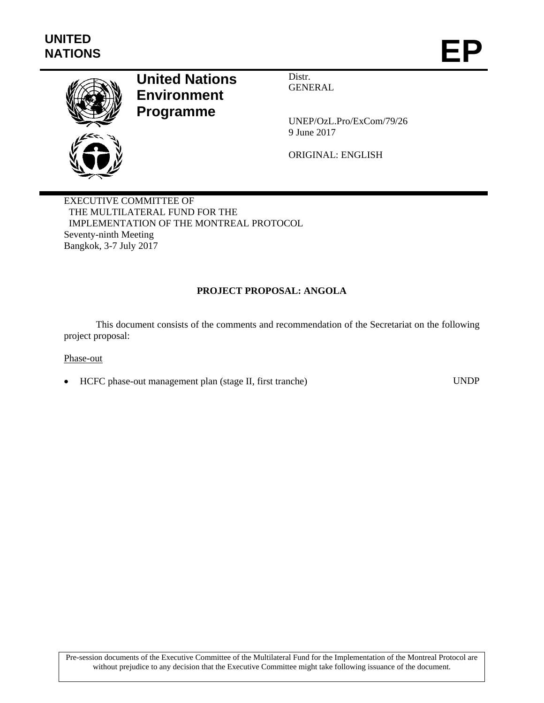

# **United Nations Environment Programme**

Distr. GENERAL

UNEP/OzL.Pro/ExCom/79/26 9 June 2017

ORIGINAL: ENGLISH

EXECUTIVE COMMITTEE OF THE MULTILATERAL FUND FOR THE IMPLEMENTATION OF THE MONTREAL PROTOCOL Seventy-ninth Meeting Bangkok, 3-7 July 2017

# **PROJECT PROPOSAL: ANGOLA**

This document consists of the comments and recommendation of the Secretariat on the following project proposal:

#### Phase-out

HCFC phase-out management plan (stage II, first tranche) UNDP

Pre-session documents of the Executive Committee of the Multilateral Fund for the Implementation of the Montreal Protocol are without prejudice to any decision that the Executive Committee might take following issuance of the document.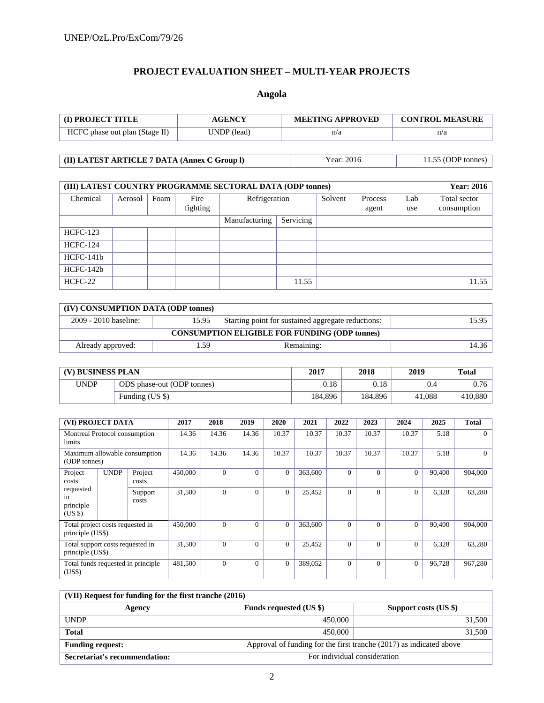# **PROJECT EVALUATION SHEET – MULTI-YEAR PROJECTS**

# **Angola**

| <b>(I) PROJECT TITLE</b>       | <b>AGENCY</b> | <b>MEETING APPROVED</b> | <b>CONTROL MEASURE</b> |  |  |
|--------------------------------|---------------|-------------------------|------------------------|--|--|
| HCFC phase out plan (Stage II) | UNDP (lead)   | n/a                     | n/a                    |  |  |

| (II) LATEST ARTICLE 7 DATA (Annex C Group I) | Year: 2016 | $11.55$ (ODP tonnes) |
|----------------------------------------------|------------|----------------------|
|                                              |            |                      |

| (III) LATEST COUNTRY PROGRAMME SECTORAL DATA (ODP tonnes) | <b>Year: 2016</b> |      |                  |               |           |         |                  |            |                             |
|-----------------------------------------------------------|-------------------|------|------------------|---------------|-----------|---------|------------------|------------|-----------------------------|
| Chemical                                                  | Aerosol           | Foam | Fire<br>fighting | Refrigeration |           | Solvent | Process<br>agent | Lab<br>use | Total sector<br>consumption |
|                                                           |                   |      |                  | Manufacturing | Servicing |         |                  |            |                             |
| <b>HCFC-123</b>                                           |                   |      |                  |               |           |         |                  |            |                             |
| <b>HCFC-124</b>                                           |                   |      |                  |               |           |         |                  |            |                             |
| $HCFC-141b$                                               |                   |      |                  |               |           |         |                  |            |                             |
| HCFC-142b                                                 |                   |      |                  |               |           |         |                  |            |                             |
| HCFC-22                                                   |                   |      |                  |               | 11.55     |         |                  |            | 11.55                       |

| (IV) CONSUMPTION DATA (ODP tonnes)                   |        |            |       |  |  |  |  |  |  |
|------------------------------------------------------|--------|------------|-------|--|--|--|--|--|--|
| 2009 - 2010 baseline:                                | 15.95  |            |       |  |  |  |  |  |  |
| <b>CONSUMPTION ELIGIBLE FOR FUNDING (ODP tonnes)</b> |        |            |       |  |  |  |  |  |  |
| Already approved:                                    | . . 59 | Remaining: | 14.36 |  |  |  |  |  |  |

| (V) BUSINESS PLAN |                            | 2017    | 2018    | 2019   | <b>Total</b> |
|-------------------|----------------------------|---------|---------|--------|--------------|
| <b>UNDP</b>       | ODS phase-out (ODP tonnes) | 0.18    | 0.18    | 0.4    | 0.76         |
|                   | Funding (US \$)            | 184.896 | 184.896 | 41.088 | 410,880      |

| (VI) PROJECT DATA                                    |             |                                    | 2017     | 2018         | 2019           | 2020         | 2021     | 2022     | 2023         | 2024     | 2025     | <b>Total</b> |
|------------------------------------------------------|-------------|------------------------------------|----------|--------------|----------------|--------------|----------|----------|--------------|----------|----------|--------------|
| Montreal Protocol consumption<br>limits              |             | 14.36                              | 14.36    | 14.36        | 10.37          | 10.37        | 10.37    | 10.37    | 10.37        | 5.18     |          |              |
| Maximum allowable consumption<br>(ODP tonnes)        |             | 14.36                              | 14.36    | 14.36        | 10.37          | 10.37        | 10.37    | 10.37    | 10.37        | 5.18     | $\Omega$ |              |
| Project<br>costs                                     | <b>UNDP</b> | Project<br>costs                   | 450,000  | $\Omega$     | $\overline{0}$ | $\mathbf{0}$ | 363,600  | $\Omega$ | $\Omega$     | $\Omega$ | 90,400   | 904,000      |
| requested<br>in<br>principle<br>(USS)                |             | Support<br>costs                   | 31,500   | $\theta$     | $\theta$       | $\Omega$     | 25,452   | $\Omega$ | $\Omega$     | $\Omega$ | 6,328    | 63,280       |
| Total project costs requested in<br>principle (US\$) |             | 450,000                            | $\Omega$ | $\mathbf{0}$ | $\mathbf{0}$   | 363,600      | $\Omega$ | $\Omega$ | $\mathbf{0}$ | 90.400   | 904,000  |              |
| Total support costs requested in<br>principle (US\$) |             |                                    | 31,500   | $\Omega$     | $\Omega$       | $\Omega$     | 25,452   | $\Omega$ | 0            | $\Omega$ | 6,328    | 63,280       |
| (US\$)                                               |             | Total funds requested in principle | 481,500  | $\mathbf{0}$ | $\overline{0}$ | $\Omega$     | 389,052  | $\Omega$ | $\Omega$     | $\Omega$ | 96,728   | 967,280      |

| (VII) Request for funding for the first tranche (2016) |                                                                     |                       |  |  |  |  |  |  |  |
|--------------------------------------------------------|---------------------------------------------------------------------|-----------------------|--|--|--|--|--|--|--|
| Agency                                                 | <b>Funds requested (US \$)</b>                                      | Support costs (US \$) |  |  |  |  |  |  |  |
| <b>UNDP</b>                                            | 450,000                                                             | 31,500                |  |  |  |  |  |  |  |
| <b>Total</b>                                           | 450,000                                                             | 31,500                |  |  |  |  |  |  |  |
| <b>Funding request:</b>                                | Approval of funding for the first tranche (2017) as indicated above |                       |  |  |  |  |  |  |  |
| Secretariat's recommendation:                          | For individual consideration                                        |                       |  |  |  |  |  |  |  |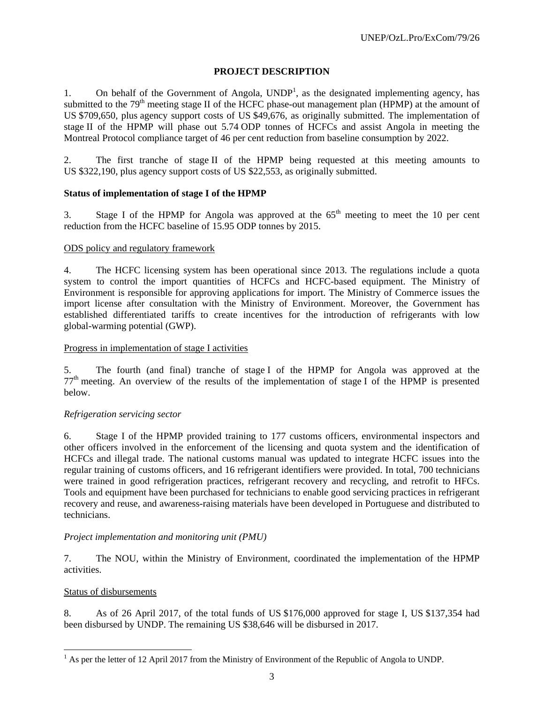# **PROJECT DESCRIPTION**

1. On behalf of the Government of Angola,  $\text{UNDP}^1$ , as the designated implementing agency, has submitted to the 79<sup>th</sup> meeting stage II of the HCFC phase-out management plan (HPMP) at the amount of US \$709,650, plus agency support costs of US \$49,676, as originally submitted. The implementation of stage II of the HPMP will phase out 5.74 ODP tonnes of HCFCs and assist Angola in meeting the Montreal Protocol compliance target of 46 per cent reduction from baseline consumption by 2022.

2. The first tranche of stage II of the HPMP being requested at this meeting amounts to US \$322,190, plus agency support costs of US \$22,553, as originally submitted.

# **Status of implementation of stage I of the HPMP**

3. Stage I of the HPMP for Angola was approved at the  $65<sup>th</sup>$  meeting to meet the 10 per cent reduction from the HCFC baseline of 15.95 ODP tonnes by 2015.

## ODS policy and regulatory framework

4. The HCFC licensing system has been operational since 2013. The regulations include a quota system to control the import quantities of HCFCs and HCFC-based equipment. The Ministry of Environment is responsible for approving applications for import. The Ministry of Commerce issues the import license after consultation with the Ministry of Environment. Moreover, the Government has established differentiated tariffs to create incentives for the introduction of refrigerants with low global-warming potential (GWP).

# Progress in implementation of stage I activities

5. The fourth (and final) tranche of stage I of the HPMP for Angola was approved at the  $77<sup>th</sup>$  meeting. An overview of the results of the implementation of stage I of the HPMP is presented below.

## *Refrigeration servicing sector*

6. Stage I of the HPMP provided training to 177 customs officers, environmental inspectors and other officers involved in the enforcement of the licensing and quota system and the identification of HCFCs and illegal trade. The national customs manual was updated to integrate HCFC issues into the regular training of customs officers, and 16 refrigerant identifiers were provided. In total, 700 technicians were trained in good refrigeration practices, refrigerant recovery and recycling, and retrofit to HFCs. Tools and equipment have been purchased for technicians to enable good servicing practices in refrigerant recovery and reuse, and awareness-raising materials have been developed in Portuguese and distributed to technicians.

## *Project implementation and monitoring unit (PMU)*

7. The NOU, within the Ministry of Environment, coordinated the implementation of the HPMP activities.

## Status of disbursements

8. As of 26 April 2017, of the total funds of US \$176,000 approved for stage I, US \$137,354 had been disbursed by UNDP. The remaining US \$38,646 will be disbursed in 2017.

<sup>&</sup>lt;sup>1</sup> As per the letter of 12 April 2017 from the Ministry of Environment of the Republic of Angola to UNDP.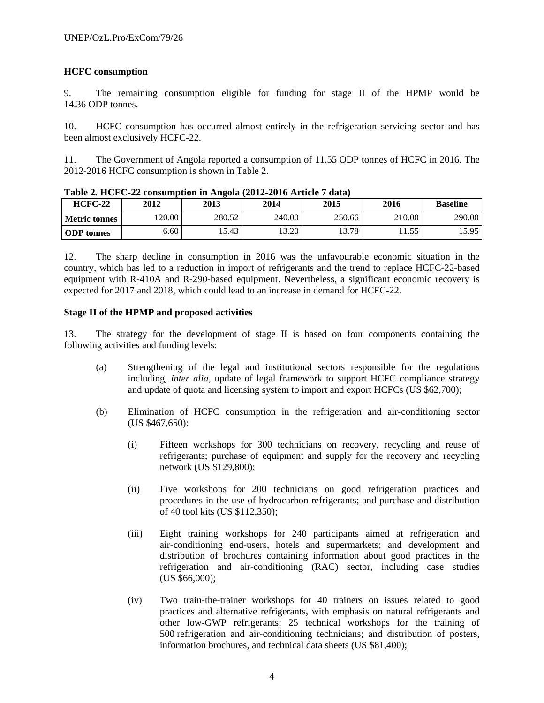# **HCFC consumption**

9. The remaining consumption eligible for funding for stage II of the HPMP would be 14.36 ODP tonnes.

10. HCFC consumption has occurred almost entirely in the refrigeration servicing sector and has been almost exclusively HCFC-22.

11. The Government of Angola reported a consumption of 11.55 ODP tonnes of HCFC in 2016. The 2012-2016 HCFC consumption is shown in Table 2.

| 2012<br>$HCFC-22$ |       | 2014<br>2013 |        | 2015   | 2016         | <b>Baseline</b> |  |
|-------------------|-------|--------------|--------|--------|--------------|-----------------|--|
| Metric tonnes     | 20.00 | 280.52       | 240.00 | 250.66 | 210.00       | 290.00          |  |
| <b>ODP</b> tonnes | 6.60  | 15.43        | 13.20  | 13.78  | 55.<br>11.JJ | 15.95           |  |

**Table 2. HCFC-22 consumption in Angola (2012-2016 Article 7 data)** 

12. The sharp decline in consumption in 2016 was the unfavourable economic situation in the country, which has led to a reduction in import of refrigerants and the trend to replace HCFC-22-based equipment with R-410A and R-290-based equipment. Nevertheless, a significant economic recovery is expected for 2017 and 2018, which could lead to an increase in demand for HCFC-22.

## **Stage II of the HPMP and proposed activities**

13. The strategy for the development of stage II is based on four components containing the following activities and funding levels:

- (a) Strengthening of the legal and institutional sectors responsible for the regulations including, *inter alia*, update of legal framework to support HCFC compliance strategy and update of quota and licensing system to import and export HCFCs (US \$62,700);
- (b) Elimination of HCFC consumption in the refrigeration and air-conditioning sector (US \$467,650):
	- (i) Fifteen workshops for 300 technicians on recovery, recycling and reuse of refrigerants; purchase of equipment and supply for the recovery and recycling network (US \$129,800);
	- (ii) Five workshops for 200 technicians on good refrigeration practices and procedures in the use of hydrocarbon refrigerants; and purchase and distribution of 40 tool kits (US \$112,350);
	- (iii) Eight training workshops for 240 participants aimed at refrigeration and air-conditioning end-users, hotels and supermarkets; and development and distribution of brochures containing information about good practices in the refrigeration and air-conditioning (RAC) sector, including case studies (US \$66,000);
	- (iv) Two train-the-trainer workshops for 40 trainers on issues related to good practices and alternative refrigerants, with emphasis on natural refrigerants and other low-GWP refrigerants; 25 technical workshops for the training of 500 refrigeration and air-conditioning technicians; and distribution of posters, information brochures, and technical data sheets (US \$81,400);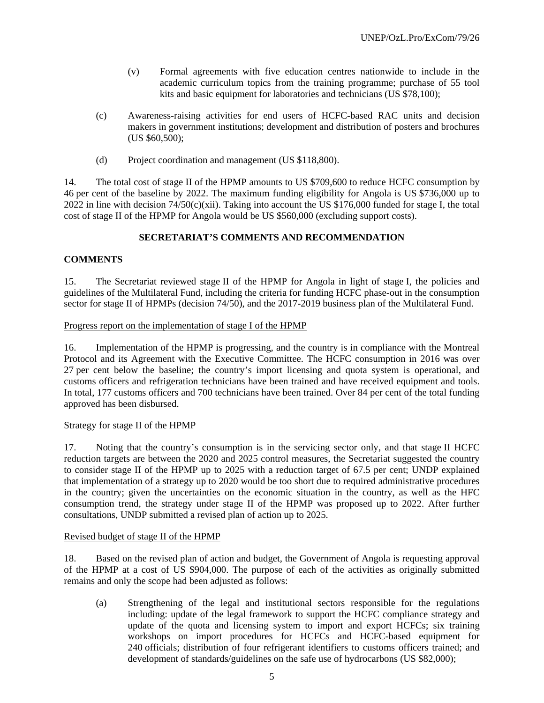- (v) Formal agreements with five education centres nationwide to include in the academic curriculum topics from the training programme; purchase of 55 tool kits and basic equipment for laboratories and technicians (US \$78,100);
- (c) Awareness-raising activities for end users of HCFC-based RAC units and decision makers in government institutions; development and distribution of posters and brochures (US \$60,500);
- (d) Project coordination and management (US \$118,800).

14. The total cost of stage II of the HPMP amounts to US \$709,600 to reduce HCFC consumption by 46 per cent of the baseline by 2022. The maximum funding eligibility for Angola is US \$736,000 up to 2022 in line with decision  $74/50(c)(xii)$ . Taking into account the US \$176,000 funded for stage I, the total cost of stage II of the HPMP for Angola would be US \$560,000 (excluding support costs).

## **SECRETARIAT'S COMMENTS AND RECOMMENDATION**

## **COMMENTS**

15. The Secretariat reviewed stage II of the HPMP for Angola in light of stage I, the policies and guidelines of the Multilateral Fund, including the criteria for funding HCFC phase-out in the consumption sector for stage II of HPMPs (decision 74/50), and the 2017-2019 business plan of the Multilateral Fund.

#### Progress report on the implementation of stage I of the HPMP

16. Implementation of the HPMP is progressing, and the country is in compliance with the Montreal Protocol and its Agreement with the Executive Committee. The HCFC consumption in 2016 was over 27 per cent below the baseline; the country's import licensing and quota system is operational, and customs officers and refrigeration technicians have been trained and have received equipment and tools. In total, 177 customs officers and 700 technicians have been trained. Over 84 per cent of the total funding approved has been disbursed.

#### Strategy for stage II of the HPMP

17. Noting that the country's consumption is in the servicing sector only, and that stage II HCFC reduction targets are between the 2020 and 2025 control measures, the Secretariat suggested the country to consider stage II of the HPMP up to 2025 with a reduction target of 67.5 per cent; UNDP explained that implementation of a strategy up to 2020 would be too short due to required administrative procedures in the country; given the uncertainties on the economic situation in the country, as well as the HFC consumption trend, the strategy under stage II of the HPMP was proposed up to 2022. After further consultations, UNDP submitted a revised plan of action up to 2025.

## Revised budget of stage II of the HPMP

18. Based on the revised plan of action and budget, the Government of Angola is requesting approval of the HPMP at a cost of US \$904,000. The purpose of each of the activities as originally submitted remains and only the scope had been adjusted as follows:

(a) Strengthening of the legal and institutional sectors responsible for the regulations including: update of the legal framework to support the HCFC compliance strategy and update of the quota and licensing system to import and export HCFCs; six training workshops on import procedures for HCFCs and HCFC-based equipment for 240 officials; distribution of four refrigerant identifiers to customs officers trained; and development of standards/guidelines on the safe use of hydrocarbons (US \$82,000);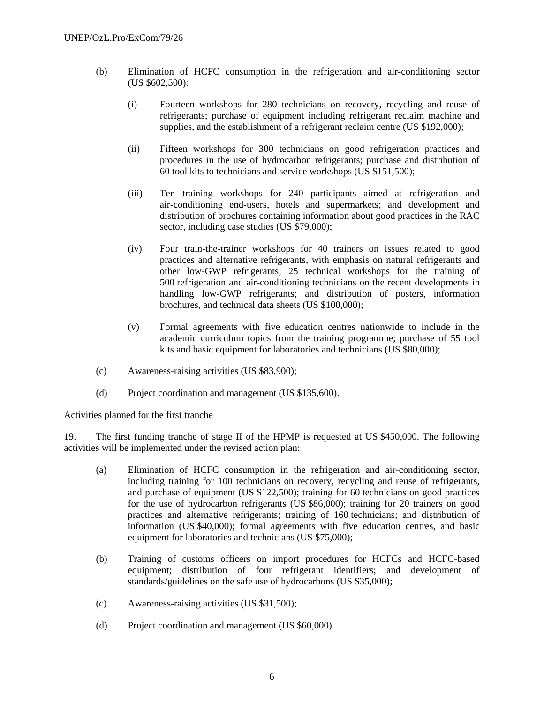- (b) Elimination of HCFC consumption in the refrigeration and air-conditioning sector (US \$602,500):
	- (i) Fourteen workshops for 280 technicians on recovery, recycling and reuse of refrigerants; purchase of equipment including refrigerant reclaim machine and supplies, and the establishment of a refrigerant reclaim centre (US \$192,000);
	- (ii) Fifteen workshops for 300 technicians on good refrigeration practices and procedures in the use of hydrocarbon refrigerants; purchase and distribution of 60 tool kits to technicians and service workshops (US \$151,500);
	- (iii) Ten training workshops for 240 participants aimed at refrigeration and air-conditioning end-users, hotels and supermarkets; and development and distribution of brochures containing information about good practices in the RAC sector, including case studies (US \$79,000);
	- (iv) Four train-the-trainer workshops for 40 trainers on issues related to good practices and alternative refrigerants, with emphasis on natural refrigerants and other low-GWP refrigerants; 25 technical workshops for the training of 500 refrigeration and air-conditioning technicians on the recent developments in handling low-GWP refrigerants; and distribution of posters, information brochures, and technical data sheets (US \$100,000);
	- (v) Formal agreements with five education centres nationwide to include in the academic curriculum topics from the training programme; purchase of 55 tool kits and basic equipment for laboratories and technicians (US \$80,000);
- (c) Awareness-raising activities (US \$83,900);
- (d) Project coordination and management (US \$135,600).

#### Activities planned for the first tranche

19. The first funding tranche of stage II of the HPMP is requested at US \$450,000. The following activities will be implemented under the revised action plan:

- (a) Elimination of HCFC consumption in the refrigeration and air-conditioning sector, including training for 100 technicians on recovery, recycling and reuse of refrigerants, and purchase of equipment (US \$122,500); training for 60 technicians on good practices for the use of hydrocarbon refrigerants (US \$86,000); training for 20 trainers on good practices and alternative refrigerants; training of 160 technicians; and distribution of information (US \$40,000); formal agreements with five education centres, and basic equipment for laboratories and technicians (US \$75,000);
- (b) Training of customs officers on import procedures for HCFCs and HCFC-based equipment; distribution of four refrigerant identifiers; and development of standards/guidelines on the safe use of hydrocarbons (US \$35,000);
- (c) Awareness-raising activities (US \$31,500);
- (d) Project coordination and management (US \$60,000).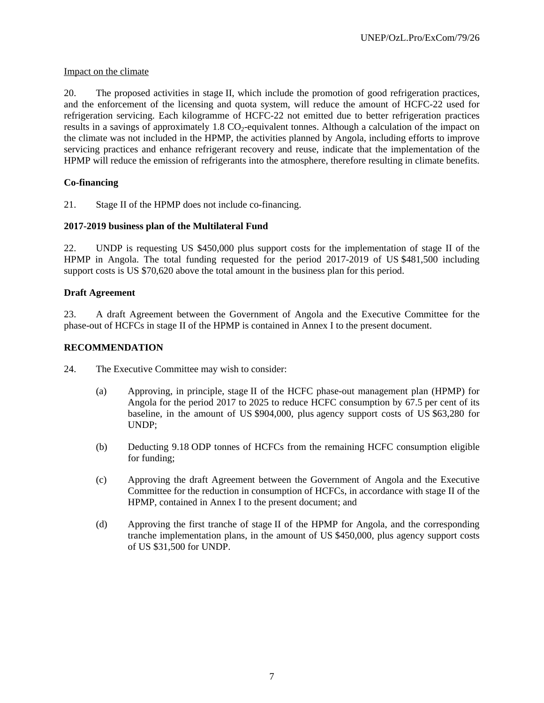# Impact on the climate

20. The proposed activities in stage II, which include the promotion of good refrigeration practices, and the enforcement of the licensing and quota system, will reduce the amount of HCFC-22 used for refrigeration servicing. Each kilogramme of HCFC-22 not emitted due to better refrigeration practices results in a savings of approximately  $1.8 \text{ CO}_2$ -equivalent tonnes. Although a calculation of the impact on the climate was not included in the HPMP, the activities planned by Angola, including efforts to improve servicing practices and enhance refrigerant recovery and reuse, indicate that the implementation of the HPMP will reduce the emission of refrigerants into the atmosphere, therefore resulting in climate benefits.

# **Co-financing**

21. Stage II of the HPMP does not include co-financing.

# **2017-2019 business plan of the Multilateral Fund**

22. UNDP is requesting US \$450,000 plus support costs for the implementation of stage II of the HPMP in Angola. The total funding requested for the period 2017-2019 of US \$481,500 including support costs is US \$70,620 above the total amount in the business plan for this period.

## **Draft Agreement**

23. A draft Agreement between the Government of Angola and the Executive Committee for the phase-out of HCFCs in stage II of the HPMP is contained in Annex I to the present document.

## **RECOMMENDATION**

- 24. The Executive Committee may wish to consider:
	- (a) Approving, in principle, stage II of the HCFC phase-out management plan (HPMP) for Angola for the period 2017 to 2025 to reduce HCFC consumption by 67.5 per cent of its baseline, in the amount of US \$904,000, plus agency support costs of US \$63,280 for UNDP;
	- (b) Deducting 9.18 ODP tonnes of HCFCs from the remaining HCFC consumption eligible for funding;
	- (c) Approving the draft Agreement between the Government of Angola and the Executive Committee for the reduction in consumption of HCFCs, in accordance with stage II of the HPMP, contained in Annex I to the present document; and
	- (d) Approving the first tranche of stage II of the HPMP for Angola, and the corresponding tranche implementation plans, in the amount of US \$450,000, plus agency support costs of US \$31,500 for UNDP.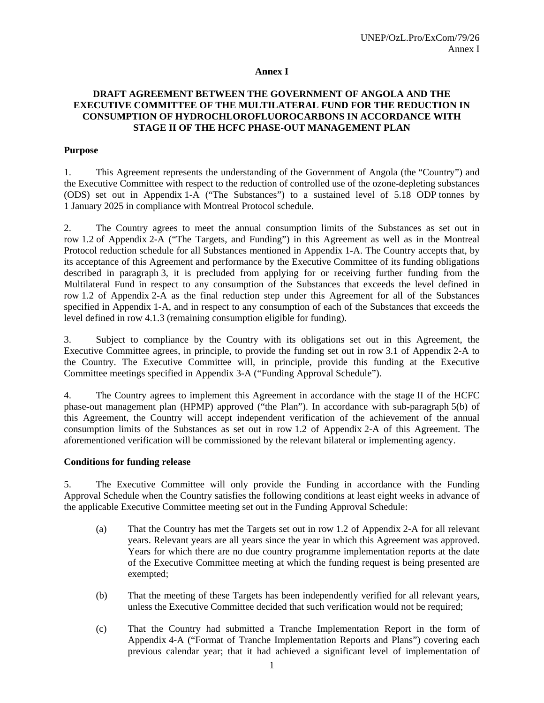#### **Annex I**

# **DRAFT AGREEMENT BETWEEN THE GOVERNMENT OF ANGOLA AND THE EXECUTIVE COMMITTEE OF THE MULTILATERAL FUND FOR THE REDUCTION IN CONSUMPTION OF HYDROCHLOROFLUOROCARBONS IN ACCORDANCE WITH STAGE II OF THE HCFC PHASE-OUT MANAGEMENT PLAN**

#### **Purpose**

1. This Agreement represents the understanding of the Government of Angola (the "Country") and the Executive Committee with respect to the reduction of controlled use of the ozone-depleting substances (ODS) set out in Appendix 1-A ("The Substances") to a sustained level of 5.18 ODP tonnes by 1 January 2025 in compliance with Montreal Protocol schedule.

2. The Country agrees to meet the annual consumption limits of the Substances as set out in row 1.2 of Appendix 2-A ("The Targets, and Funding") in this Agreement as well as in the Montreal Protocol reduction schedule for all Substances mentioned in Appendix 1-A. The Country accepts that, by its acceptance of this Agreement and performance by the Executive Committee of its funding obligations described in paragraph 3, it is precluded from applying for or receiving further funding from the Multilateral Fund in respect to any consumption of the Substances that exceeds the level defined in row 1.2 of Appendix 2-A as the final reduction step under this Agreement for all of the Substances specified in Appendix 1-A, and in respect to any consumption of each of the Substances that exceeds the level defined in row 4.1.3 (remaining consumption eligible for funding).

3. Subject to compliance by the Country with its obligations set out in this Agreement, the Executive Committee agrees, in principle, to provide the funding set out in row 3.1 of Appendix 2-A to the Country. The Executive Committee will, in principle, provide this funding at the Executive Committee meetings specified in Appendix 3-A ("Funding Approval Schedule").

4. The Country agrees to implement this Agreement in accordance with the stage II of the HCFC phase-out management plan (HPMP) approved ("the Plan"). In accordance with sub-paragraph 5(b) of this Agreement, the Country will accept independent verification of the achievement of the annual consumption limits of the Substances as set out in row 1.2 of Appendix 2-A of this Agreement. The aforementioned verification will be commissioned by the relevant bilateral or implementing agency.

#### **Conditions for funding release**

5. The Executive Committee will only provide the Funding in accordance with the Funding Approval Schedule when the Country satisfies the following conditions at least eight weeks in advance of the applicable Executive Committee meeting set out in the Funding Approval Schedule:

- (a) That the Country has met the Targets set out in row 1.2 of Appendix 2-A for all relevant years. Relevant years are all years since the year in which this Agreement was approved. Years for which there are no due country programme implementation reports at the date of the Executive Committee meeting at which the funding request is being presented are exempted;
- (b) That the meeting of these Targets has been independently verified for all relevant years, unless the Executive Committee decided that such verification would not be required;
- (c) That the Country had submitted a Tranche Implementation Report in the form of Appendix 4-A ("Format of Tranche Implementation Reports and Plans") covering each previous calendar year; that it had achieved a significant level of implementation of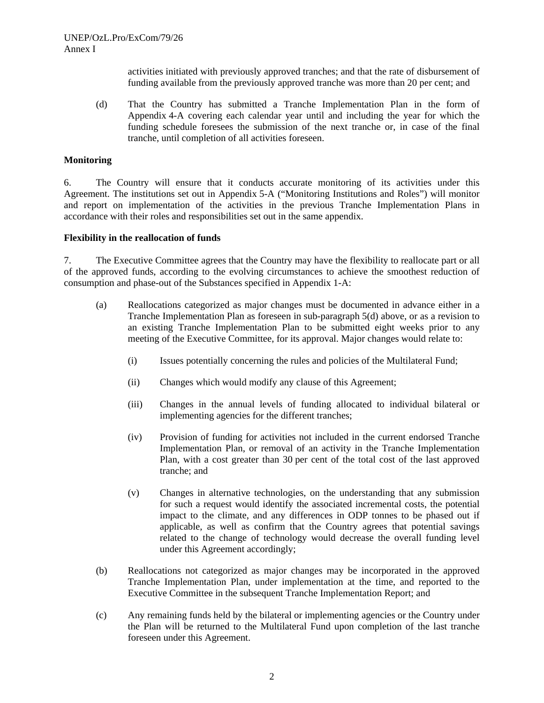activities initiated with previously approved tranches; and that the rate of disbursement of funding available from the previously approved tranche was more than 20 per cent; and

(d) That the Country has submitted a Tranche Implementation Plan in the form of Appendix 4-A covering each calendar year until and including the year for which the funding schedule foresees the submission of the next tranche or, in case of the final tranche, until completion of all activities foreseen.

#### **Monitoring**

6. The Country will ensure that it conducts accurate monitoring of its activities under this Agreement. The institutions set out in Appendix 5-A ("Monitoring Institutions and Roles") will monitor and report on implementation of the activities in the previous Tranche Implementation Plans in accordance with their roles and responsibilities set out in the same appendix.

#### **Flexibility in the reallocation of funds**

7. The Executive Committee agrees that the Country may have the flexibility to reallocate part or all of the approved funds, according to the evolving circumstances to achieve the smoothest reduction of consumption and phase-out of the Substances specified in Appendix 1-A:

- (a) Reallocations categorized as major changes must be documented in advance either in a Tranche Implementation Plan as foreseen in sub-paragraph 5(d) above, or as a revision to an existing Tranche Implementation Plan to be submitted eight weeks prior to any meeting of the Executive Committee, for its approval. Major changes would relate to:
	- (i) Issues potentially concerning the rules and policies of the Multilateral Fund;
	- (ii) Changes which would modify any clause of this Agreement;
	- (iii) Changes in the annual levels of funding allocated to individual bilateral or implementing agencies for the different tranches;
	- (iv) Provision of funding for activities not included in the current endorsed Tranche Implementation Plan, or removal of an activity in the Tranche Implementation Plan, with a cost greater than 30 per cent of the total cost of the last approved tranche; and
	- (v) Changes in alternative technologies, on the understanding that any submission for such a request would identify the associated incremental costs, the potential impact to the climate, and any differences in ODP tonnes to be phased out if applicable, as well as confirm that the Country agrees that potential savings related to the change of technology would decrease the overall funding level under this Agreement accordingly;
- (b) Reallocations not categorized as major changes may be incorporated in the approved Tranche Implementation Plan, under implementation at the time, and reported to the Executive Committee in the subsequent Tranche Implementation Report; and
- (c) Any remaining funds held by the bilateral or implementing agencies or the Country under the Plan will be returned to the Multilateral Fund upon completion of the last tranche foreseen under this Agreement.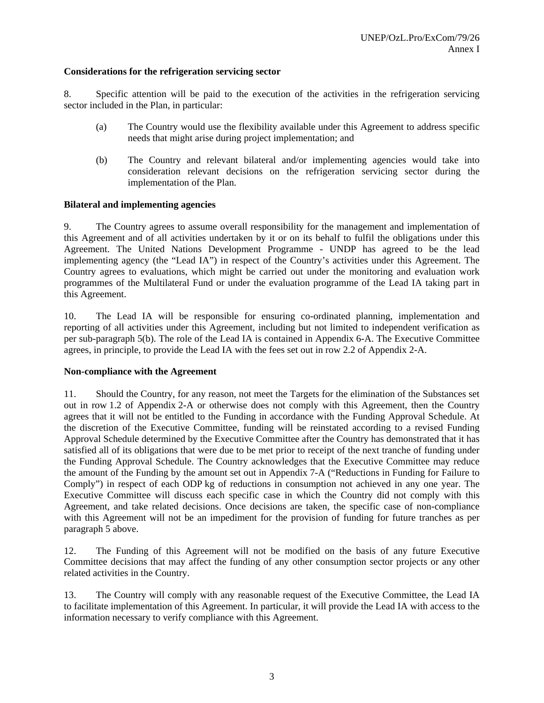#### **Considerations for the refrigeration servicing sector**

8. Specific attention will be paid to the execution of the activities in the refrigeration servicing sector included in the Plan, in particular:

- (a) The Country would use the flexibility available under this Agreement to address specific needs that might arise during project implementation; and
- (b) The Country and relevant bilateral and/or implementing agencies would take into consideration relevant decisions on the refrigeration servicing sector during the implementation of the Plan.

#### **Bilateral and implementing agencies**

9. The Country agrees to assume overall responsibility for the management and implementation of this Agreement and of all activities undertaken by it or on its behalf to fulfil the obligations under this Agreement. The United Nations Development Programme - UNDP has agreed to be the lead implementing agency (the "Lead IA") in respect of the Country's activities under this Agreement. The Country agrees to evaluations, which might be carried out under the monitoring and evaluation work programmes of the Multilateral Fund or under the evaluation programme of the Lead IA taking part in this Agreement.

10. The Lead IA will be responsible for ensuring co-ordinated planning, implementation and reporting of all activities under this Agreement, including but not limited to independent verification as per sub-paragraph 5(b). The role of the Lead IA is contained in Appendix 6-A. The Executive Committee agrees, in principle, to provide the Lead IA with the fees set out in row 2.2 of Appendix 2-A.

#### **Non-compliance with the Agreement**

11. Should the Country, for any reason, not meet the Targets for the elimination of the Substances set out in row 1.2 of Appendix 2-A or otherwise does not comply with this Agreement, then the Country agrees that it will not be entitled to the Funding in accordance with the Funding Approval Schedule. At the discretion of the Executive Committee, funding will be reinstated according to a revised Funding Approval Schedule determined by the Executive Committee after the Country has demonstrated that it has satisfied all of its obligations that were due to be met prior to receipt of the next tranche of funding under the Funding Approval Schedule. The Country acknowledges that the Executive Committee may reduce the amount of the Funding by the amount set out in Appendix 7-A ("Reductions in Funding for Failure to Comply") in respect of each ODP kg of reductions in consumption not achieved in any one year. The Executive Committee will discuss each specific case in which the Country did not comply with this Agreement, and take related decisions. Once decisions are taken, the specific case of non-compliance with this Agreement will not be an impediment for the provision of funding for future tranches as per paragraph 5 above.

12. The Funding of this Agreement will not be modified on the basis of any future Executive Committee decisions that may affect the funding of any other consumption sector projects or any other related activities in the Country.

13. The Country will comply with any reasonable request of the Executive Committee, the Lead IA to facilitate implementation of this Agreement. In particular, it will provide the Lead IA with access to the information necessary to verify compliance with this Agreement.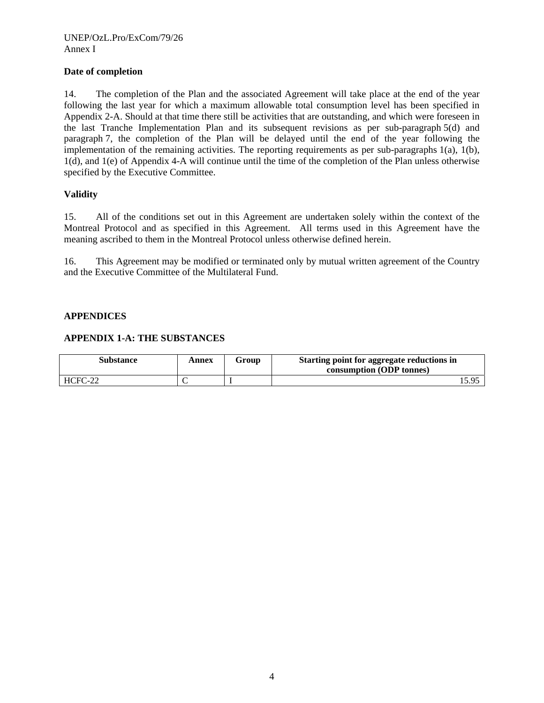## **Date of completion**

14. The completion of the Plan and the associated Agreement will take place at the end of the year following the last year for which a maximum allowable total consumption level has been specified in Appendix 2-A. Should at that time there still be activities that are outstanding, and which were foreseen in the last Tranche Implementation Plan and its subsequent revisions as per sub-paragraph 5(d) and paragraph 7, the completion of the Plan will be delayed until the end of the year following the implementation of the remaining activities. The reporting requirements as per sub-paragraphs 1(a), 1(b), 1(d), and 1(e) of Appendix 4-A will continue until the time of the completion of the Plan unless otherwise specified by the Executive Committee.

## **Validity**

15. All of the conditions set out in this Agreement are undertaken solely within the context of the Montreal Protocol and as specified in this Agreement. All terms used in this Agreement have the meaning ascribed to them in the Montreal Protocol unless otherwise defined herein.

16. This Agreement may be modified or terminated only by mutual written agreement of the Country and the Executive Committee of the Multilateral Fund.

## **APPENDICES**

#### **APPENDIX 1-A: THE SUBSTANCES**

| <b>Substance</b> | Annex | Group | Starting point for aggregate reductions in<br>consumption (ODP tonnes) |
|------------------|-------|-------|------------------------------------------------------------------------|
| HCFC-22          |       |       | 5.95،                                                                  |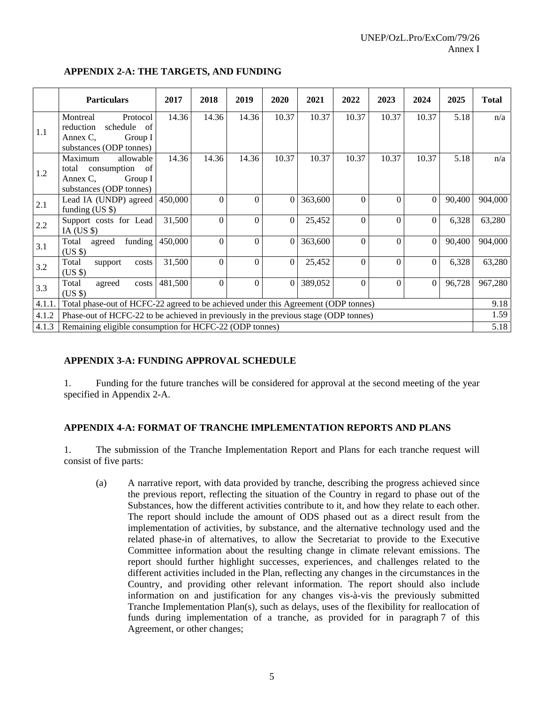|        | <b>Particulars</b>                                                                                    | 2017    | 2018     | 2019             | 2020     | 2021    | 2022         | 2023     | 2024     | 2025   | <b>Total</b> |
|--------|-------------------------------------------------------------------------------------------------------|---------|----------|------------------|----------|---------|--------------|----------|----------|--------|--------------|
| 1.1    | Montreal<br>Protocol<br>schedule<br>reduction<br>of<br>Annex C,<br>Group I<br>substances (ODP tonnes) | 14.36   | 14.36    | 14.36            | 10.37    | 10.37   | 10.37        | 10.37    | 10.37    | 5.18   | n/a          |
| 1.2    | Maximum<br>allowable<br>consumption of<br>total<br>Annex C,<br>Group I<br>substances (ODP tonnes)     | 14.36   | 14.36    | 14.36            | 10.37    | 10.37   | 10.37        | 10.37    | 10.37    | 5.18   | n/a          |
| 2.1    | Lead IA (UNDP) agreed<br>funding $(US \$                                                              | 450,000 | $\Omega$ | $\Omega$         | $\Omega$ | 363,600 | $\theta$     | $\theta$ | $\Omega$ | 90,400 | 904,000      |
| 2.2    | Support costs for Lead<br>IA (US $$$ )                                                                | 31,500  | $\Omega$ | $\overline{0}$   | $\Omega$ | 25,452  | $\mathbf{0}$ | $\Omega$ | $\Omega$ | 6,328  | 63,280       |
| 3.1    | funding<br>Total<br>agreed<br>$(US \$                                                                 | 450,000 | $\Omega$ | $\Omega$         | $\theta$ | 363,600 | $\theta$     | $\Omega$ | $\Omega$ | 90,400 | 904,000      |
| 3.2    | Total<br>support<br>costs<br>$(US \$                                                                  | 31,500  | $\Omega$ | $\Omega$         | $\Omega$ | 25,452  | $\Omega$     | $\theta$ | $\Omega$ | 6,328  | 63,280       |
| 3.3    | Total<br>agreed<br>costs<br>$(US \$                                                                   | 481,500 | $\theta$ | $\boldsymbol{0}$ | $\Omega$ | 389,052 | $\theta$     | $\theta$ | $\Omega$ | 96,728 | 967,280      |
| 4.1.1. | Total phase-out of HCFC-22 agreed to be achieved under this Agreement (ODP tonnes)                    |         |          |                  |          |         |              |          |          |        | 9.18         |
| 4.1.2  | Phase-out of HCFC-22 to be achieved in previously in the previous stage (ODP tonnes)                  |         |          |                  |          |         |              |          |          |        | 1.59         |
| 4.1.3  | Remaining eligible consumption for HCFC-22 (ODP tonnes)                                               |         |          |                  |          |         |              |          |          |        | 5.18         |

# **APPENDIX 2-A: THE TARGETS, AND FUNDING**

# **APPENDIX 3-A: FUNDING APPROVAL SCHEDULE**

1. Funding for the future tranches will be considered for approval at the second meeting of the year specified in Appendix 2-A.

## **APPENDIX 4-A: FORMAT OF TRANCHE IMPLEMENTATION REPORTS AND PLANS**

1. The submission of the Tranche Implementation Report and Plans for each tranche request will consist of five parts:

(a) A narrative report, with data provided by tranche, describing the progress achieved since the previous report, reflecting the situation of the Country in regard to phase out of the Substances, how the different activities contribute to it, and how they relate to each other. The report should include the amount of ODS phased out as a direct result from the implementation of activities, by substance, and the alternative technology used and the related phase-in of alternatives, to allow the Secretariat to provide to the Executive Committee information about the resulting change in climate relevant emissions. The report should further highlight successes, experiences, and challenges related to the different activities included in the Plan, reflecting any changes in the circumstances in the Country, and providing other relevant information. The report should also include information on and justification for any changes vis-à-vis the previously submitted Tranche Implementation Plan(s), such as delays, uses of the flexibility for reallocation of funds during implementation of a tranche, as provided for in paragraph 7 of this Agreement, or other changes;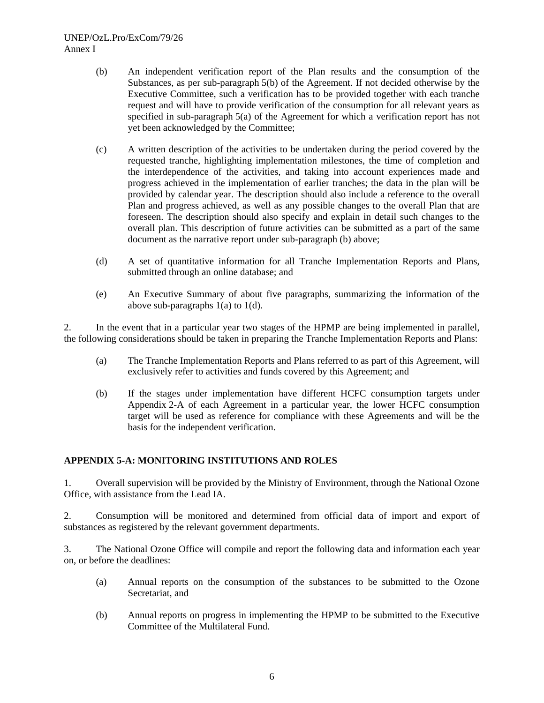#### UNEP/OzL.Pro/ExCom/79/26 Annex I

- (b) An independent verification report of the Plan results and the consumption of the Substances, as per sub-paragraph 5(b) of the Agreement. If not decided otherwise by the Executive Committee, such a verification has to be provided together with each tranche request and will have to provide verification of the consumption for all relevant years as specified in sub-paragraph 5(a) of the Agreement for which a verification report has not yet been acknowledged by the Committee;
- (c) A written description of the activities to be undertaken during the period covered by the requested tranche, highlighting implementation milestones, the time of completion and the interdependence of the activities, and taking into account experiences made and progress achieved in the implementation of earlier tranches; the data in the plan will be provided by calendar year. The description should also include a reference to the overall Plan and progress achieved, as well as any possible changes to the overall Plan that are foreseen. The description should also specify and explain in detail such changes to the overall plan. This description of future activities can be submitted as a part of the same document as the narrative report under sub-paragraph (b) above;
- (d) A set of quantitative information for all Tranche Implementation Reports and Plans, submitted through an online database; and
- (e) An Executive Summary of about five paragraphs, summarizing the information of the above sub-paragraphs 1(a) to 1(d).

2. In the event that in a particular year two stages of the HPMP are being implemented in parallel, the following considerations should be taken in preparing the Tranche Implementation Reports and Plans:

- (a) The Tranche Implementation Reports and Plans referred to as part of this Agreement, will exclusively refer to activities and funds covered by this Agreement; and
- (b) If the stages under implementation have different HCFC consumption targets under Appendix 2-A of each Agreement in a particular year, the lower HCFC consumption target will be used as reference for compliance with these Agreements and will be the basis for the independent verification.

## **APPENDIX 5-A: MONITORING INSTITUTIONS AND ROLES**

1. Overall supervision will be provided by the Ministry of Environment, through the National Ozone Office, with assistance from the Lead IA.

2. Consumption will be monitored and determined from official data of import and export of substances as registered by the relevant government departments.

3. The National Ozone Office will compile and report the following data and information each year on, or before the deadlines:

- (a) Annual reports on the consumption of the substances to be submitted to the Ozone Secretariat, and
- (b) Annual reports on progress in implementing the HPMP to be submitted to the Executive Committee of the Multilateral Fund.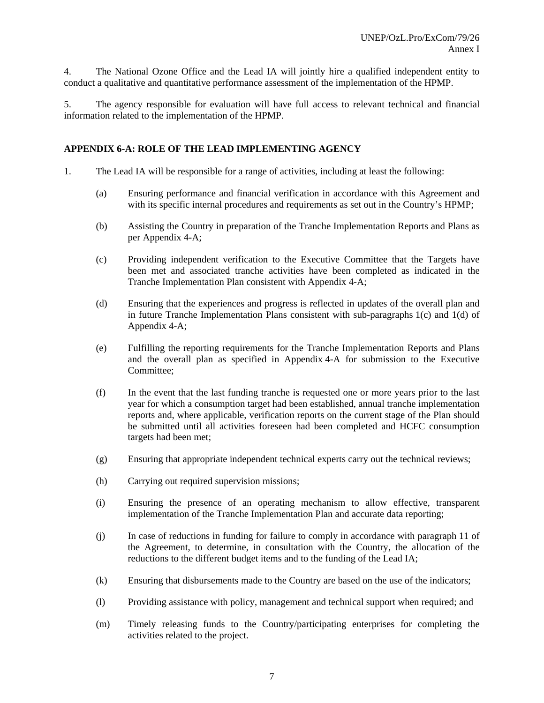4. The National Ozone Office and the Lead IA will jointly hire a qualified independent entity to conduct a qualitative and quantitative performance assessment of the implementation of the HPMP.

5. The agency responsible for evaluation will have full access to relevant technical and financial information related to the implementation of the HPMP.

## **APPENDIX 6-A: ROLE OF THE LEAD IMPLEMENTING AGENCY**

- 1. The Lead IA will be responsible for a range of activities, including at least the following:
	- (a) Ensuring performance and financial verification in accordance with this Agreement and with its specific internal procedures and requirements as set out in the Country's HPMP;
	- (b) Assisting the Country in preparation of the Tranche Implementation Reports and Plans as per Appendix 4-A;
	- (c) Providing independent verification to the Executive Committee that the Targets have been met and associated tranche activities have been completed as indicated in the Tranche Implementation Plan consistent with Appendix 4-A;
	- (d) Ensuring that the experiences and progress is reflected in updates of the overall plan and in future Tranche Implementation Plans consistent with sub-paragraphs  $1(c)$  and  $1(d)$  of Appendix 4-A;
	- (e) Fulfilling the reporting requirements for the Tranche Implementation Reports and Plans and the overall plan as specified in Appendix 4-A for submission to the Executive Committee;
	- (f) In the event that the last funding tranche is requested one or more years prior to the last year for which a consumption target had been established, annual tranche implementation reports and, where applicable, verification reports on the current stage of the Plan should be submitted until all activities foreseen had been completed and HCFC consumption targets had been met;
	- (g) Ensuring that appropriate independent technical experts carry out the technical reviews;
	- (h) Carrying out required supervision missions;
	- (i) Ensuring the presence of an operating mechanism to allow effective, transparent implementation of the Tranche Implementation Plan and accurate data reporting;
	- (j) In case of reductions in funding for failure to comply in accordance with paragraph 11 of the Agreement, to determine, in consultation with the Country, the allocation of the reductions to the different budget items and to the funding of the Lead IA;
	- (k) Ensuring that disbursements made to the Country are based on the use of the indicators;
	- (l) Providing assistance with policy, management and technical support when required; and
	- (m) Timely releasing funds to the Country/participating enterprises for completing the activities related to the project.